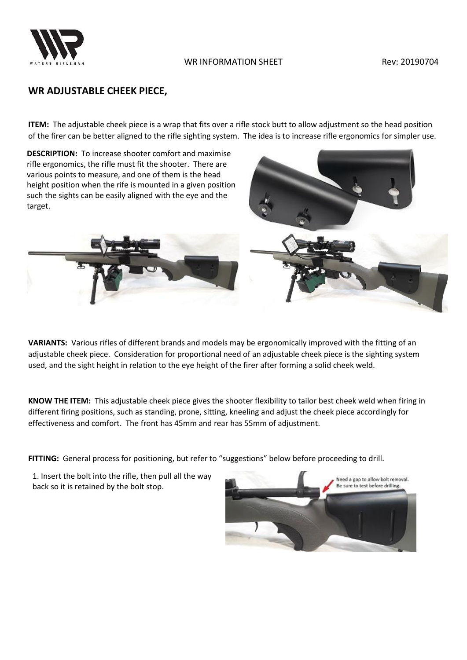

## **WR ADJUSTABLE CHEEK PIECE,**

**ITEM:** The adjustable cheek piece is a wrap that fits over a rifle stock butt to allow adjustment so the head position of the firer can be better aligned to the rifle sighting system. The idea is to increase rifle ergonomics for simpler use.

**DESCRIPTION:** To increase shooter comfort and maximise rifle ergonomics, the rifle must fit the shooter. There are various points to measure, and one of them is the head height position when the rife is mounted in a given position such the sights can be easily aligned with the eye and the target.





**VARIANTS:** Various rifles of different brands and models may be ergonomically improved with the fitting of an adjustable cheek piece. Consideration for proportional need of an adjustable cheek piece is the sighting system used, and the sight height in relation to the eye height of the firer after forming a solid cheek weld.

**KNOW THE ITEM:** This adjustable cheek piece gives the shooter flexibility to tailor best cheek weld when firing in different firing positions, such as standing, prone, sitting, kneeling and adjust the cheek piece accordingly for effectiveness and comfort. The front has 45mm and rear has 55mm of adjustment.

FITTING: General process for positioning, but refer to "suggestions" below before proceeding to drill.

1. Insert the bolt into the rifle, then pull all the way back so it is retained by the bolt stop.

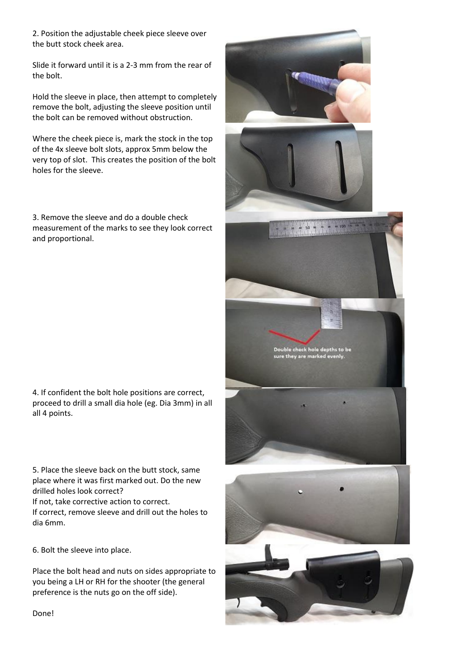2. Position the adjustable cheek piece sleeve over the butt stock cheek area.

Slide it forward until it is a 2-3 mm from the rear of the bolt.

Hold the sleeve in place, then attempt to completely remove the bolt, adjusting the sleeve position until the bolt can be removed without obstruction.

Where the cheek piece is, mark the stock in the top of the 4x sleeve bolt slots, approx 5mm below the very top of slot. This creates the position of the bolt holes for the sleeve.

3. Remove the sleeve and do a double check measurement of the marks to see they look correct and proportional.

4. If confident the bolt hole positions are correct, proceed to drill a small dia hole (eg. Dia 3mm) in all all 4 points.

5. Place the sleeve back on the butt stock, same place where it was first marked out. Do the new drilled holes look correct?

If not, take corrective action to correct.

If correct, remove sleeve and drill out the holes to dia 6mm.

6. Bolt the sleeve into place.

Place the bolt head and nuts on sides appropriate to you being a LH or RH for the shooter (the general preference is the nuts go on the off side).



Done!